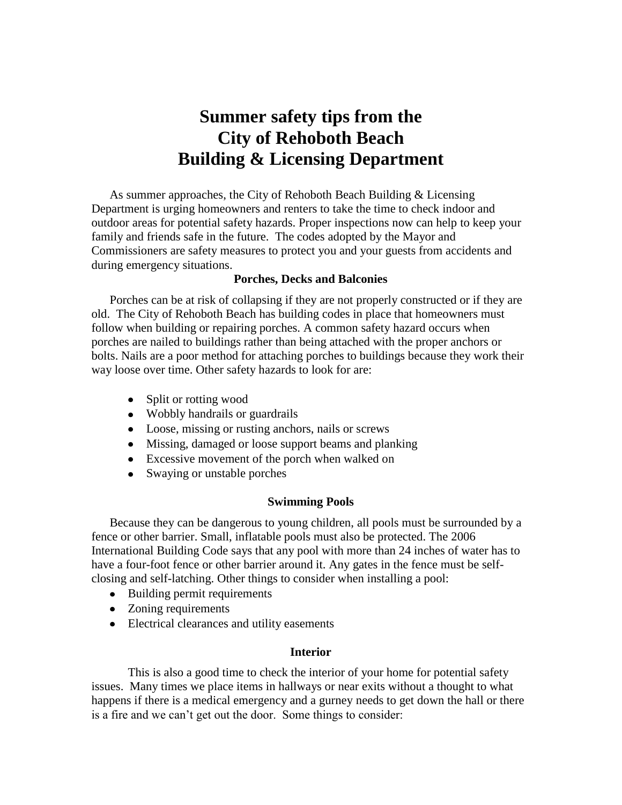# **Summer safety tips from the City of Rehoboth Beach Building & Licensing Department**

As summer approaches, the City of Rehoboth Beach Building & Licensing Department is urging homeowners and renters to take the time to check indoor and outdoor areas for potential safety hazards. Proper inspections now can help to keep your family and friends safe in the future. The codes adopted by the Mayor and Commissioners are safety measures to protect you and your guests from accidents and during emergency situations.

## **Porches, Decks and Balconies**

Porches can be at risk of collapsing if they are not properly constructed or if they are old. The City of Rehoboth Beach has building codes in place that homeowners must follow when building or repairing porches. A common safety hazard occurs when porches are nailed to buildings rather than being attached with the proper anchors or bolts. Nails are a poor method for attaching porches to buildings because they work their way loose over time. Other safety hazards to look for are:

- Split or rotting wood
- Wobbly handrails or guardrails
- Loose, missing or rusting anchors, nails or screws
- Missing, damaged or loose support beams and planking
- Excessive movement of the porch when walked on
- Swaying or unstable porches

## **Swimming Pools**

Because they can be dangerous to young children, all pools must be surrounded by a fence or other barrier. Small, inflatable pools must also be protected. The 2006 International Building Code says that any pool with more than 24 inches of water has to have a four-foot fence or other barrier around it. Any gates in the fence must be selfclosing and self-latching. Other things to consider when installing a pool:

- Building permit requirements
- Zoning requirements
- Electrical clearances and utility easements

## **Interior**

This is also a good time to check the interior of your home for potential safety issues. Many times we place items in hallways or near exits without a thought to what happens if there is a medical emergency and a gurney needs to get down the hall or there is a fire and we can't get out the door. Some things to consider: